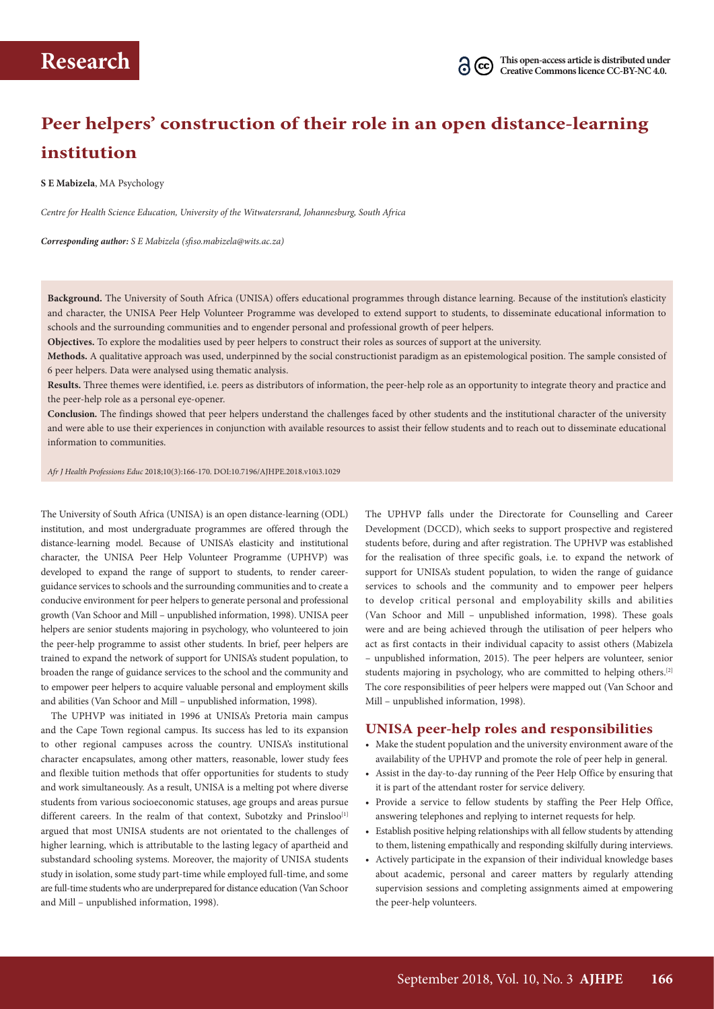# **Peer helpers' construction of their role in an open distance-learning institution**

**S E Mabizela**, MA Psychology

*Centre for Health Science Education, University of the Witwatersrand, Johannesburg, South Africa*

*Corresponding author: S E Mabizela (sfiso.mabizela@wits.ac.za)* 

**Background.** The University of South Africa (UNISA) offers educational programmes through distance learning. Because of the institution's elasticity and character, the UNISA Peer Help Volunteer Programme was developed to extend support to students, to disseminate educational information to schools and the surrounding communities and to engender personal and professional growth of peer helpers.

**Objectives.** To explore the modalities used by peer helpers to construct their roles as sources of support at the university.

**Methods.** A qualitative approach was used, underpinned by the social constructionist paradigm as an epistemological position. The sample consisted of 6 peer helpers. Data were analysed using thematic analysis.

**Results.** Three themes were identified, i.e. peers as distributors of information, the peer-help role as an opportunity to integrate theory and practice and the peer-help role as a personal eye-opener.

**Conclusion.** The findings showed that peer helpers understand the challenges faced by other students and the institutional character of the university and were able to use their experiences in conjunction with available resources to assist their fellow students and to reach out to disseminate educational information to communities.

*Afr J Health Professions Educ* 2018;10(3):166-170. DOI:10.7196/AJHPE.2018.v10i3.1029

The University of South Africa (UNISA) is an open distance-learning (ODL) institution, and most undergraduate programmes are offered through the distance-learning model. Because of UNISA's elasticity and institutional character, the UNISA Peer Help Volunteer Programme (UPHVP) was developed to expand the range of support to students, to render careerguidance services to schools and the surrounding communities and to create a conducive environment for peer helpers to generate personal and professional growth (Van Schoor and Mill – unpublished information, 1998). UNISA peer helpers are senior students majoring in psychology, who volunteered to join the peer-help programme to assist other students. In brief, peer helpers are trained to expand the network of support for UNISA's student population, to broaden the range of guidance services to the school and the community and to empower peer helpers to acquire valuable personal and employment skills and abilities (Van Schoor and Mill – unpublished information, 1998).

The UPHVP was initiated in 1996 at UNISA's Pretoria main campus and the Cape Town regional campus. Its success has led to its expansion to other regional campuses across the country. UNISA's institutional character encapsulates, among other matters, reasonable, lower study fees and flexible tuition methods that offer opportunities for students to study and work simultaneously. As a result, UNISA is a melting pot where diverse students from various socioeconomic statuses, age groups and areas pursue different careers. In the realm of that context, Subotzky and Prinsloo<sup>[1]</sup> argued that most UNISA students are not orientated to the challenges of higher learning, which is attributable to the lasting legacy of apartheid and substandard schooling systems. Moreover, the majority of UNISA students study in isolation, some study part-time while employed full-time, and some are full-time students who are underprepared for distance education (Van Schoor and Mill – unpublished information, 1998).

The UPHVP falls under the Directorate for Counselling and Career Development (DCCD), which seeks to support prospective and registered students before, during and after registration. The UPHVP was established for the realisation of three specific goals, i.e. to expand the network of support for UNISA's student population, to widen the range of guidance services to schools and the community and to empower peer helpers to develop critical personal and employability skills and abilities (Van Schoor and Mill – unpublished information, 1998). These goals were and are being achieved through the utilisation of peer helpers who act as first contacts in their individual capacity to assist others (Mabizela – unpublished information, 2015). The peer helpers are volunteer, senior students majoring in psychology, who are committed to helping others.[2] The core responsibilities of peer helpers were mapped out (Van Schoor and Mill – unpublished information, 1998).

#### **UNISA peer-help roles and responsibilities**

- Make the student population and the university environment aware of the availability of the UPHVP and promote the role of peer help in general.
- Assist in the day-to-day running of the Peer Help Office by ensuring that it is part of the attendant roster for service delivery.
- Provide a service to fellow students by staffing the Peer Help Office, answering telephones and replying to internet requests for help.
- Establish positive helping relationships with all fellow students by attending to them, listening empathically and responding skilfully during interviews.
- Actively participate in the expansion of their individual knowledge bases about academic, personal and career matters by regularly attending supervision sessions and completing assignments aimed at empowering the peer-help volunteers.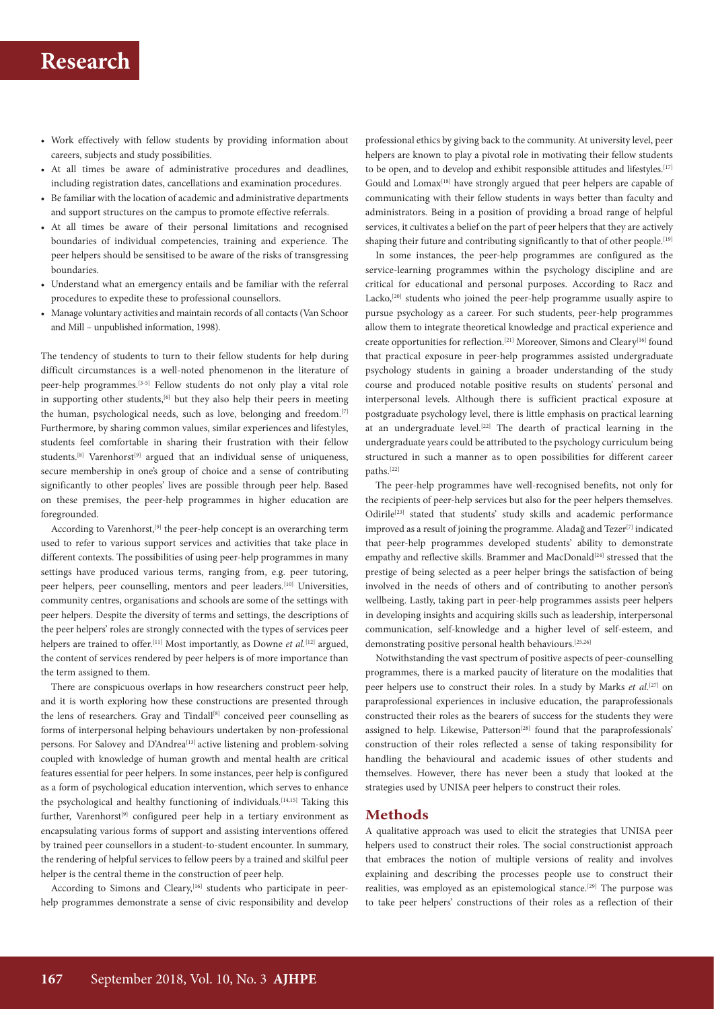## **Research**

- Work effectively with fellow students by providing information about careers, subjects and study possibilities.
- At all times be aware of administrative procedures and deadlines, including registration dates, cancellations and examination procedures.
- Be familiar with the location of academic and administrative departments and support structures on the campus to promote effective referrals.
- At all times be aware of their personal limitations and recognised boundaries of individual competencies, training and experience. The peer helpers should be sensitised to be aware of the risks of transgressing boundaries.
- Understand what an emergency entails and be familiar with the referral procedures to expedite these to professional counsellors.
- Manage voluntary activities and maintain records of all contacts (Van Schoor and Mill – unpublished information, 1998).

The tendency of students to turn to their fellow students for help during difficult circumstances is a well-noted phenomenon in the literature of peer-help programmes.[3-5] Fellow students do not only play a vital role in supporting other students,<sup>[6]</sup> but they also help their peers in meeting the human, psychological needs, such as love, belonging and freedom.<sup>[7]</sup> Furthermore, by sharing common values, similar experiences and lifestyles, students feel comfortable in sharing their frustration with their fellow students.<sup>[8]</sup> Varenhorst<sup>[9]</sup> argued that an individual sense of uniqueness, secure membership in one's group of choice and a sense of contributing significantly to other peoples' lives are possible through peer help. Based on these premises, the peer-help programmes in higher education are foregrounded.

According to Varenhorst,<sup>[9]</sup> the peer-help concept is an overarching term used to refer to various support services and activities that take place in different contexts. The possibilities of using peer-help programmes in many settings have produced various terms, ranging from, e.g. peer tutoring, peer helpers, peer counselling, mentors and peer leaders.<sup>[10]</sup> Universities, community centres, organisations and schools are some of the settings with peer helpers. Despite the diversity of terms and settings, the descriptions of the peer helpers' roles are strongly connected with the types of services peer helpers are trained to offer.<sup>[11]</sup> Most importantly, as Downe *et al.*<sup>[12]</sup> argued, the content of services rendered by peer helpers is of more importance than the term assigned to them.

There are conspicuous overlaps in how researchers construct peer help, and it is worth exploring how these constructions are presented through the lens of researchers. Gray and Tindall<sup>[8]</sup> conceived peer counselling as forms of interpersonal helping behaviours undertaken by non-professional persons. For Salovey and D'Andrea<sup>[13]</sup> active listening and problem-solving coupled with knowledge of human growth and mental health are critical features essential for peer helpers. In some instances, peer help is configured as a form of psychological education intervention, which serves to enhance the psychological and healthy functioning of individuals.[14,15] Taking this further, Varenhorst<sup>[9]</sup> configured peer help in a tertiary environment as encapsulating various forms of support and assisting interventions offered by trained peer counsellors in a student-to-student encounter. In summary, the rendering of helpful services to fellow peers by a trained and skilful peer helper is the central theme in the construction of peer help.

According to Simons and Cleary,<sup>[16]</sup> students who participate in peerhelp programmes demonstrate a sense of civic responsibility and develop

professional ethics by giving back to the community. At university level, peer helpers are known to play a pivotal role in motivating their fellow students to be open, and to develop and exhibit responsible attitudes and lifestyles.<sup>[17]</sup> Gould and Lomax<sup>[18]</sup> have strongly argued that peer helpers are capable of communicating with their fellow students in ways better than faculty and administrators. Being in a position of providing a broad range of helpful services, it cultivates a belief on the part of peer helpers that they are actively shaping their future and contributing significantly to that of other people.<sup>[19]</sup>

In some instances, the peer-help programmes are configured as the service-learning programmes within the psychology discipline and are critical for educational and personal purposes. According to Racz and Lacko,<sup>[20]</sup> students who joined the peer-help programme usually aspire to pursue psychology as a career. For such students, peer-help programmes allow them to integrate theoretical knowledge and practical experience and create opportunities for reflection.[21] Moreover, Simons and Cleary[16] found that practical exposure in peer-help programmes assisted undergraduate psychology students in gaining a broader understanding of the study course and produced notable positive results on students' personal and interpersonal levels. Although there is sufficient practical exposure at postgraduate psychology level, there is little emphasis on practical learning at an undergraduate level.[22] The dearth of practical learning in the undergraduate years could be attributed to the psychology curriculum being structured in such a manner as to open possibilities for different career paths.[22]

The peer-help programmes have well-recognised benefits, not only for the recipients of peer-help services but also for the peer helpers themselves. Odirile<sup>[23]</sup> stated that students' study skills and academic performance improved as a result of joining the programme. Aladağ and Tezer<sup>[7]</sup> indicated that peer-help programmes developed students' ability to demonstrate empathy and reflective skills. Brammer and MacDonald<sup>[24]</sup> stressed that the prestige of being selected as a peer helper brings the satisfaction of being involved in the needs of others and of contributing to another person's wellbeing. Lastly, taking part in peer-help programmes assists peer helpers in developing insights and acquiring skills such as leadership, interpersonal communication, self-knowledge and a higher level of self-esteem, and demonstrating positive personal health behaviours.[25,26]

Notwithstanding the vast spectrum of positive aspects of peer-counselling programmes, there is a marked paucity of literature on the modalities that peer helpers use to construct their roles. In a study by Marks *et al.*<sup>[27]</sup> on paraprofessional experiences in inclusive education, the paraprofessionals constructed their roles as the bearers of success for the students they were assigned to help. Likewise, Patterson<sup>[28]</sup> found that the paraprofessionals' construction of their roles reflected a sense of taking responsibility for handling the behavioural and academic issues of other students and themselves. However, there has never been a study that looked at the strategies used by UNISA peer helpers to construct their roles.

## **Methods**

A qualitative approach was used to elicit the strategies that UNISA peer helpers used to construct their roles. The social constructionist approach that embraces the notion of multiple versions of reality and involves explaining and describing the processes people use to construct their realities, was employed as an epistemological stance.<sup>[29]</sup> The purpose was to take peer helpers' constructions of their roles as a reflection of their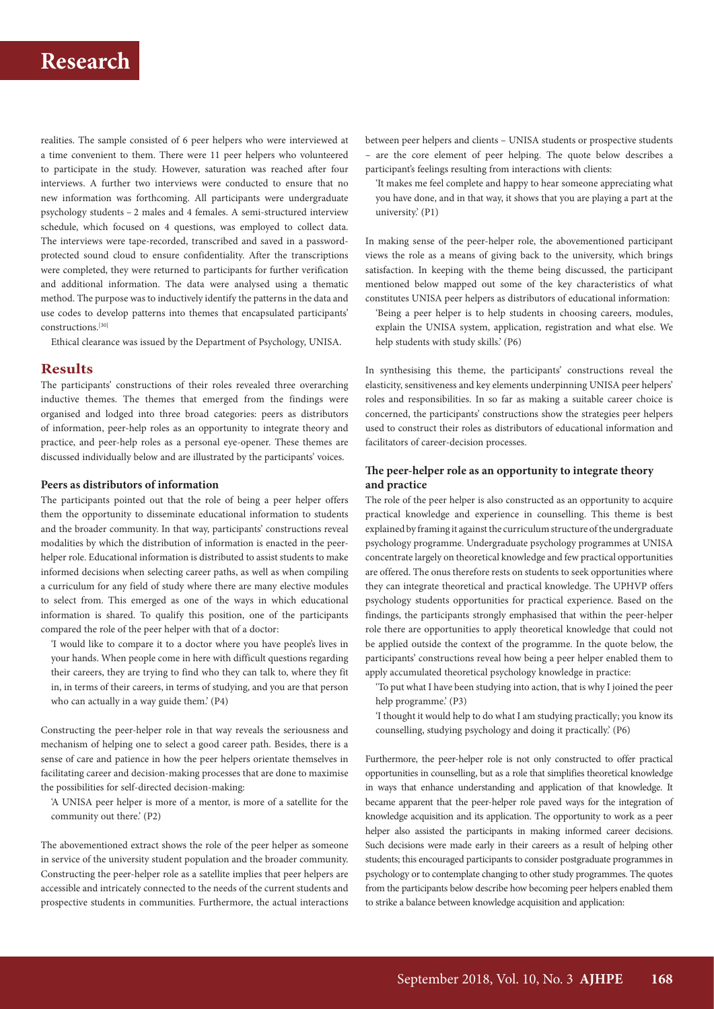## **Research**

realities. The sample consisted of 6 peer helpers who were interviewed at a time convenient to them. There were 11 peer helpers who volunteered to participate in the study. However, saturation was reached after four interviews. A further two interviews were conducted to ensure that no new information was forthcoming. All participants were undergraduate psychology students – 2 males and 4 females. A semi-structured interview schedule, which focused on 4 questions, was employed to collect data. The interviews were tape-recorded, transcribed and saved in a passwordprotected sound cloud to ensure confidentiality. After the transcriptions were completed, they were returned to participants for further verification and additional information. The data were analysed using a thematic method. The purpose was to inductively identify the patterns in the data and use codes to develop patterns into themes that encapsulated participants' constructions.[30]

Ethical clearance was issued by the Department of Psychology, UNISA.

### **Results**

The participants' constructions of their roles revealed three overarching inductive themes. The themes that emerged from the findings were organised and lodged into three broad categories: peers as distributors of information, peer-help roles as an opportunity to integrate theory and practice, and peer-help roles as a personal eye-opener. These themes are discussed individually below and are illustrated by the participants' voices.

#### **Peers as distributors of information**

The participants pointed out that the role of being a peer helper offers them the opportunity to disseminate educational information to students and the broader community. In that way, participants' constructions reveal modalities by which the distribution of information is enacted in the peerhelper role. Educational information is distributed to assist students to make informed decisions when selecting career paths, as well as when compiling a curriculum for any field of study where there are many elective modules to select from. This emerged as one of the ways in which educational information is shared. To qualify this position, one of the participants compared the role of the peer helper with that of a doctor:

'I would like to compare it to a doctor where you have people's lives in your hands. When people come in here with difficult questions regarding their careers, they are trying to find who they can talk to, where they fit in, in terms of their careers, in terms of studying, and you are that person who can actually in a way guide them.' (P4)

Constructing the peer-helper role in that way reveals the seriousness and mechanism of helping one to select a good career path. Besides, there is a sense of care and patience in how the peer helpers orientate themselves in facilitating career and decision-making processes that are done to maximise the possibilities for self-directed decision-making:

'A UNISA peer helper is more of a mentor, is more of a satellite for the community out there.' (P2)

The abovementioned extract shows the role of the peer helper as someone in service of the university student population and the broader community. Constructing the peer-helper role as a satellite implies that peer helpers are accessible and intricately connected to the needs of the current students and prospective students in communities. Furthermore, the actual interactions between peer helpers and clients – UNISA students or prospective students – are the core element of peer helping. The quote below describes a participant's feelings resulting from interactions with clients:

'It makes me feel complete and happy to hear someone appreciating what you have done, and in that way, it shows that you are playing a part at the university.' (P1)

In making sense of the peer-helper role, the abovementioned participant views the role as a means of giving back to the university, which brings satisfaction. In keeping with the theme being discussed, the participant mentioned below mapped out some of the key characteristics of what constitutes UNISA peer helpers as distributors of educational information:

'Being a peer helper is to help students in choosing careers, modules, explain the UNISA system, application, registration and what else. We help students with study skills.' (P6)

In synthesising this theme, the participants' constructions reveal the elasticity, sensitiveness and key elements underpinning UNISA peer helpers' roles and responsibilities. In so far as making a suitable career choice is concerned, the participants' constructions show the strategies peer helpers used to construct their roles as distributors of educational information and facilitators of career-decision processes.

### **The peer-helper role as an opportunity to integrate theory and practice**

The role of the peer helper is also constructed as an opportunity to acquire practical knowledge and experience in counselling. This theme is best explained by framing it against the curriculum structure of the undergraduate psychology programme. Undergraduate psychology programmes at UNISA concentrate largely on theoretical knowledge and few practical opportunities are offered. The onus therefore rests on students to seek opportunities where they can integrate theoretical and practical knowledge. The UPHVP offers psychology students opportunities for practical experience. Based on the findings, the participants strongly emphasised that within the peer-helper role there are opportunities to apply theoretical knowledge that could not be applied outside the context of the programme. In the quote below, the participants' constructions reveal how being a peer helper enabled them to apply accumulated theoretical psychology knowledge in practice:

'To put what I have been studying into action, that is why I joined the peer help programme.' (P3)

'I thought it would help to do what I am studying practically; you know its counselling, studying psychology and doing it practically.' (P6)

Furthermore, the peer-helper role is not only constructed to offer practical opportunities in counselling, but as a role that simplifies theoretical knowledge in ways that enhance understanding and application of that knowledge. It became apparent that the peer-helper role paved ways for the integration of knowledge acquisition and its application. The opportunity to work as a peer helper also assisted the participants in making informed career decisions. Such decisions were made early in their careers as a result of helping other students; this encouraged participants to consider postgraduate programmes in psychology or to contemplate changing to other study programmes. The quotes from the participants below describe how becoming peer helpers enabled them to strike a balance between knowledge acquisition and application: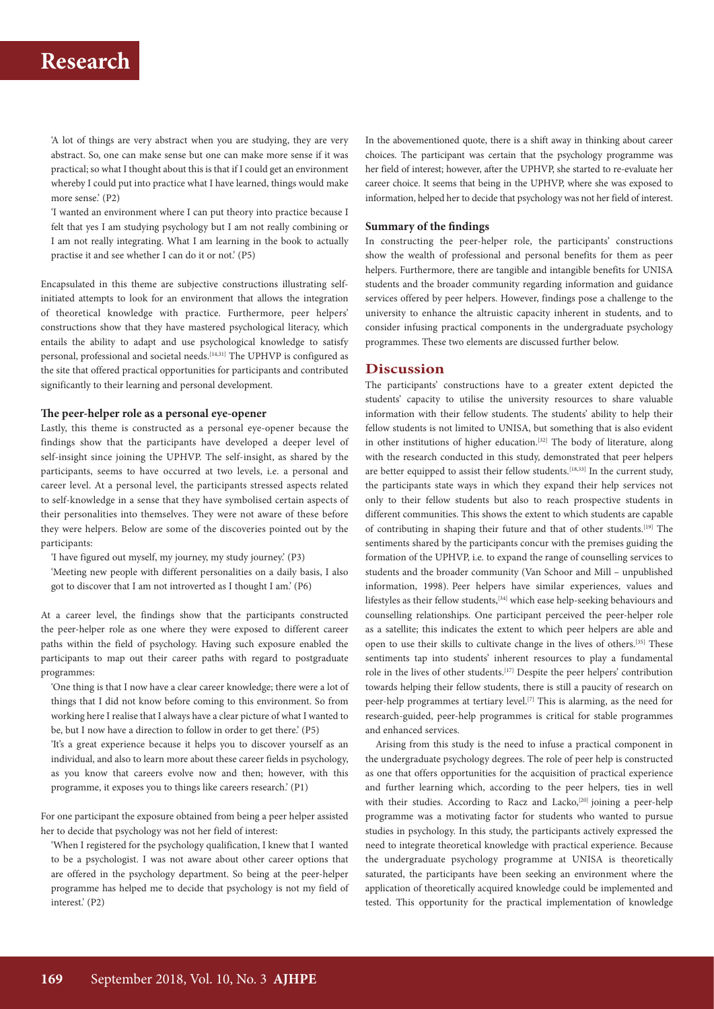'A lot of things are very abstract when you are studying, they are very abstract. So, one can make sense but one can make more sense if it was practical; so what I thought about this is that if I could get an environment whereby I could put into practice what I have learned, things would make more sense.' (P2)

'I wanted an environment where I can put theory into practice because I felt that yes I am studying psychology but I am not really combining or I am not really integrating. What I am learning in the book to actually practise it and see whether I can do it or not.' (P5)

Encapsulated in this theme are subjective constructions illustrating selfinitiated attempts to look for an environment that allows the integration of theoretical knowledge with practice. Furthermore, peer helpers' constructions show that they have mastered psychological literacy, which entails the ability to adapt and use psychological knowledge to satisfy personal, professional and societal needs.<sup>[14,31]</sup> The UPHVP is configured as the site that offered practical opportunities for participants and contributed significantly to their learning and personal development.

#### **The peer-helper role as a personal eye-opener**

Lastly, this theme is constructed as a personal eye-opener because the findings show that the participants have developed a deeper level of self-insight since joining the UPHVP. The self-insight, as shared by the participants, seems to have occurred at two levels, i.e. a personal and career level. At a personal level, the participants stressed aspects related to self-knowledge in a sense that they have symbolised certain aspects of their personalities into themselves. They were not aware of these before they were helpers. Below are some of the discoveries pointed out by the participants:

'I have figured out myself, my journey, my study journey.' (P3)

'Meeting new people with different personalities on a daily basis, I also got to discover that I am not introverted as I thought I am.' (P6)

At a career level, the findings show that the participants constructed the peer-helper role as one where they were exposed to different career paths within the field of psychology. Having such exposure enabled the participants to map out their career paths with regard to postgraduate programmes:

'One thing is that I now have a clear career knowledge; there were a lot of things that I did not know before coming to this environment. So from working here I realise that I always have a clear picture of what I wanted to be, but I now have a direction to follow in order to get there.' (P5)

'It's a great experience because it helps you to discover yourself as an individual, and also to learn more about these career fields in psychology, as you know that careers evolve now and then; however, with this programme, it exposes you to things like careers research.' (P1)

For one participant the exposure obtained from being a peer helper assisted her to decide that psychology was not her field of interest:

'When I registered for the psychology qualification, I knew that I wanted to be a psychologist. I was not aware about other career options that are offered in the psychology department. So being at the peer-helper programme has helped me to decide that psychology is not my field of interest.' (P2)

In the abovementioned quote, there is a shift away in thinking about career choices. The participant was certain that the psychology programme was her field of interest; however, after the UPHVP, she started to re-evaluate her career choice. It seems that being in the UPHVP, where she was exposed to information, helped her to decide that psychology was not her field of interest.

#### **Summary of the findings**

In constructing the peer-helper role, the participants' constructions show the wealth of professional and personal benefits for them as peer helpers. Furthermore, there are tangible and intangible benefits for UNISA students and the broader community regarding information and guidance services offered by peer helpers. However, findings pose a challenge to the university to enhance the altruistic capacity inherent in students, and to consider infusing practical components in the undergraduate psychology programmes. These two elements are discussed further below.

### **Discussion**

The participants' constructions have to a greater extent depicted the students' capacity to utilise the university resources to share valuable information with their fellow students. The students' ability to help their fellow students is not limited to UNISA, but something that is also evident in other institutions of higher education.<sup>[32]</sup> The body of literature, along with the research conducted in this study, demonstrated that peer helpers are better equipped to assist their fellow students.<sup>[18,33]</sup> In the current study, the participants state ways in which they expand their help services not only to their fellow students but also to reach prospective students in different communities. This shows the extent to which students are capable of contributing in shaping their future and that of other students.[19] The sentiments shared by the participants concur with the premises guiding the formation of the UPHVP, i.e. to expand the range of counselling services to students and the broader community (Van Schoor and Mill – unpublished information, 1998). Peer helpers have similar experiences, values and lifestyles as their fellow students,[34] which ease help-seeking behaviours and counselling relationships. One participant perceived the peer-helper role as a satellite; this indicates the extent to which peer helpers are able and open to use their skills to cultivate change in the lives of others.[35] These sentiments tap into students' inherent resources to play a fundamental role in the lives of other students.[17] Despite the peer helpers' contribution towards helping their fellow students, there is still a paucity of research on peer-help programmes at tertiary level.<sup>[7]</sup> This is alarming, as the need for research-guided, peer-help programmes is critical for stable programmes and enhanced services.

Arising from this study is the need to infuse a practical component in the undergraduate psychology degrees. The role of peer help is constructed as one that offers opportunities for the acquisition of practical experience and further learning which, according to the peer helpers, ties in well with their studies. According to Racz and Lacko,<sup>[20]</sup> joining a peer-help programme was a motivating factor for students who wanted to pursue studies in psychology. In this study, the participants actively expressed the need to integrate theoretical knowledge with practical experience. Because the undergraduate psychology programme at UNISA is theoretically saturated, the participants have been seeking an environment where the application of theoretically acquired knowledge could be implemented and tested. This opportunity for the practical implementation of knowledge